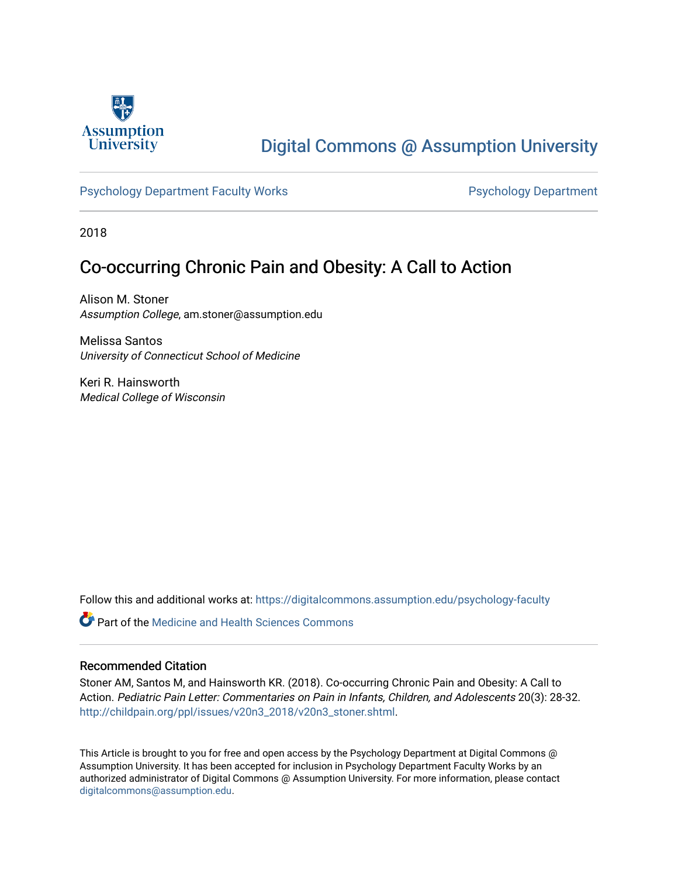

# [Digital Commons @ Assumption University](https://digitalcommons.assumption.edu/)

#### [Psychology Department Faculty Works](https://digitalcommons.assumption.edu/psychology-faculty) **Properties Access Psychology Department**

2018

## Co-occurring Chronic Pain and Obesity: A Call to Action

Alison M. Stoner Assumption College, am.stoner@assumption.edu

Melissa Santos University of Connecticut School of Medicine

Keri R. Hainsworth Medical College of Wisconsin

Follow this and additional works at: [https://digitalcommons.assumption.edu/psychology-faculty](https://digitalcommons.assumption.edu/psychology-faculty?utm_source=digitalcommons.assumption.edu%2Fpsychology-faculty%2F13&utm_medium=PDF&utm_campaign=PDFCoverPages) 

**C** Part of the Medicine and Health Sciences Commons

#### Recommended Citation

Stoner AM, Santos M, and Hainsworth KR. (2018). Co-occurring Chronic Pain and Obesity: A Call to Action. Pediatric Pain Letter: Commentaries on Pain in Infants, Children, and Adolescents 20(3): 28-32. [http://childpain.org/ppl/issues/v20n3\\_2018/v20n3\\_stoner.shtml.](http://childpain.org/ppl/issues/v20n3_2018/v20n3_stoner.shtml)

This Article is brought to you for free and open access by the Psychology Department at Digital Commons @ Assumption University. It has been accepted for inclusion in Psychology Department Faculty Works by an authorized administrator of Digital Commons @ Assumption University. For more information, please contact [digitalcommons@assumption.edu](mailto:digitalcommons@assumption.edu).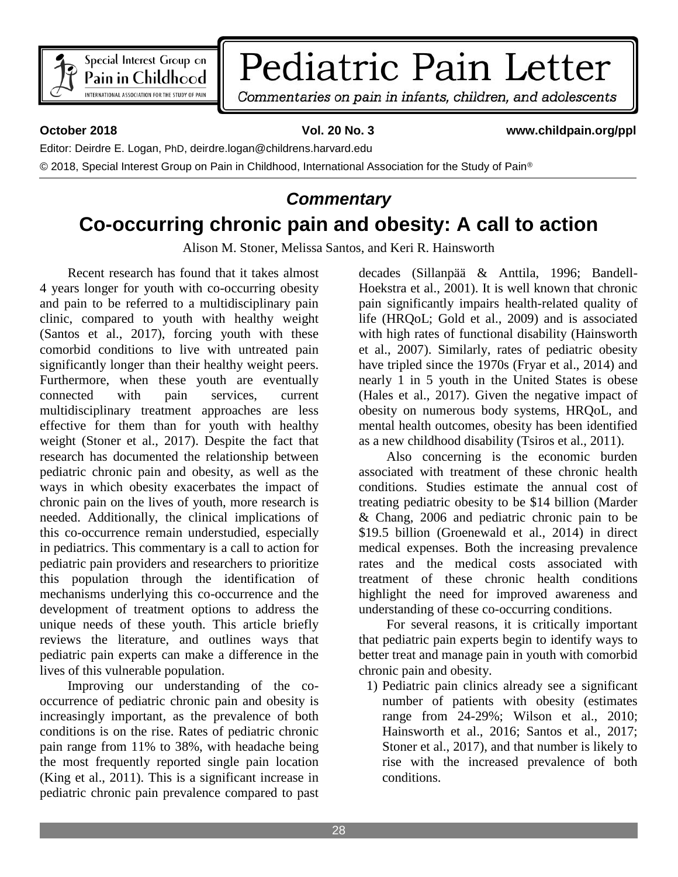

# Pediatric Pain Letter

Commentaries on pain in infants, children, and adolescents

#### **October 2018 Vol. 20 No. 3 www.childpain.org/ppl**

Editor: Deirdre E. Logan, PhD, deirdre.logan@childrens.harvard.edu

© 2018. Special Interest Group on Pain in Childhood, International Association for the Study of Pain<sup>®</sup>

# *Commentary* **Co-occurring chronic pain and obesity: A call to action**

Alison M. Stoner, Melissa Santos, and Keri R. Hainsworth

Recent research has found that it takes almost 4 years longer for youth with co-occurring obesity and pain to be referred to a multidisciplinary pain clinic, compared to youth with healthy weight (Santos et al., 2017), forcing youth with these comorbid conditions to live with untreated pain significantly longer than their healthy weight peers. Furthermore, when these youth are eventually connected with pain services, current multidisciplinary treatment approaches are less effective for them than for youth with healthy weight (Stoner et al., 2017). Despite the fact that research has documented the relationship between pediatric chronic pain and obesity, as well as the ways in which obesity exacerbates the impact of chronic pain on the lives of youth, more research is needed. Additionally, the clinical implications of this co-occurrence remain understudied, especially in pediatrics. This commentary is a call to action for pediatric pain providers and researchers to prioritize this population through the identification of mechanisms underlying this co-occurrence and the development of treatment options to address the unique needs of these youth. This article briefly reviews the literature, and outlines ways that pediatric pain experts can make a difference in the lives of this vulnerable population.

Improving our understanding of the cooccurrence of pediatric chronic pain and obesity is increasingly important, as the prevalence of both conditions is on the rise. Rates of pediatric chronic pain range from 11% to 38%, with headache being the most frequently reported single pain location (King et al., 2011). This is a significant increase in pediatric chronic pain prevalence compared to past

decades (Sillanpää & Anttila, 1996; Bandell-Hoekstra et al., 2001). It is well known that chronic pain significantly impairs health-related quality of life (HRQoL; Gold et al., 2009) and is associated with high rates of functional disability (Hainsworth et al., 2007). Similarly, rates of pediatric obesity have tripled since the 1970s (Fryar et al., 2014) and nearly 1 in 5 youth in the United States is obese (Hales et al., 2017). Given the negative impact of obesity on numerous body systems, HRQoL, and mental health outcomes, obesity has been identified as a new childhood disability (Tsiros et al., 2011).

Also concerning is the economic burden associated with treatment of these chronic health conditions. Studies estimate the annual cost of treating pediatric obesity to be \$14 billion (Marder & Chang, 2006 and pediatric chronic pain to be \$19.5 billion (Groenewald et al., 2014) in direct medical expenses. Both the increasing prevalence rates and the medical costs associated with treatment of these chronic health conditions highlight the need for improved awareness and understanding of these co-occurring conditions.

For several reasons, it is critically important that pediatric pain experts begin to identify ways to better treat and manage pain in youth with comorbid chronic pain and obesity.

1) Pediatric pain clinics already see a significant number of patients with obesity (estimates range from 24-29%; Wilson et al., 2010; Hainsworth et al., 2016; Santos et al., 2017; Stoner et al., 2017), and that number is likely to rise with the increased prevalence of both conditions.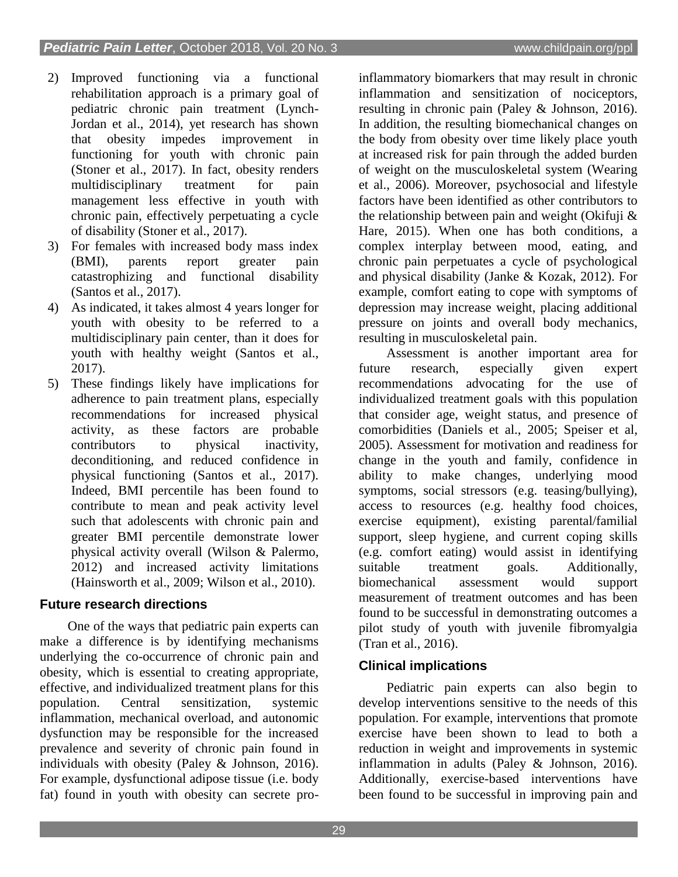- 2) Improved functioning via a functional rehabilitation approach is a primary goal of pediatric chronic pain treatment (Lynch-Jordan et al., 2014), yet research has shown that obesity impedes improvement in functioning for youth with chronic pain (Stoner et al., 2017). In fact, obesity renders multidisciplinary treatment for pain management less effective in youth with chronic pain, effectively perpetuating a cycle of disability (Stoner et al., 2017).
- 3) For females with increased body mass index (BMI), parents report greater pain catastrophizing and functional disability (Santos et al., 2017).
- 4) As indicated, it takes almost 4 years longer for youth with obesity to be referred to a multidisciplinary pain center, than it does for youth with healthy weight (Santos et al., 2017).
- 5) These findings likely have implications for adherence to pain treatment plans, especially recommendations for increased physical activity, as these factors are probable contributors to physical inactivity, deconditioning, and reduced confidence in physical functioning (Santos et al., 2017). Indeed, BMI percentile has been found to contribute to mean and peak activity level such that adolescents with chronic pain and greater BMI percentile demonstrate lower physical activity overall (Wilson & Palermo, 2012) and increased activity limitations (Hainsworth et al., 2009; Wilson et al., 2010).

#### **Future research directions**

One of the ways that pediatric pain experts can make a difference is by identifying mechanisms underlying the co-occurrence of chronic pain and obesity, which is essential to creating appropriate, effective, and individualized treatment plans for this population. Central sensitization, systemic inflammation, mechanical overload, and autonomic dysfunction may be responsible for the increased prevalence and severity of chronic pain found in individuals with obesity (Paley & Johnson, 2016). For example, dysfunctional adipose tissue (i.e. body fat) found in youth with obesity can secrete pro-

inflammatory biomarkers that may result in chronic inflammation and sensitization of nociceptors, resulting in chronic pain (Paley & Johnson, 2016). In addition, the resulting biomechanical changes on the body from obesity over time likely place youth at increased risk for pain through the added burden of weight on the musculoskeletal system (Wearing et al., 2006). Moreover, psychosocial and lifestyle factors have been identified as other contributors to the relationship between pain and weight (Okifuji  $\&$ Hare, 2015). When one has both conditions, a complex interplay between mood, eating, and chronic pain perpetuates a cycle of psychological and physical disability (Janke & Kozak, 2012). For example, comfort eating to cope with symptoms of depression may increase weight, placing additional pressure on joints and overall body mechanics, resulting in musculoskeletal pain.

Assessment is another important area for future research, especially given expert recommendations advocating for the use of individualized treatment goals with this population that consider age, weight status, and presence of comorbidities (Daniels et al., 2005; Speiser et al, 2005). Assessment for motivation and readiness for change in the youth and family, confidence in ability to make changes, underlying mood symptoms, social stressors (e.g. teasing/bullying), access to resources (e.g. healthy food choices, exercise equipment), existing parental/familial support, sleep hygiene, and current coping skills (e.g. comfort eating) would assist in identifying suitable treatment goals. Additionally, biomechanical assessment would support measurement of treatment outcomes and has been found to be successful in demonstrating outcomes a pilot study of youth with juvenile fibromyalgia (Tran et al., 2016).

### **Clinical implications**

Pediatric pain experts can also begin to develop interventions sensitive to the needs of this population. For example, interventions that promote exercise have been shown to lead to both a reduction in weight and improvements in systemic inflammation in adults (Paley & Johnson, 2016). Additionally, exercise-based interventions have been found to be successful in improving pain and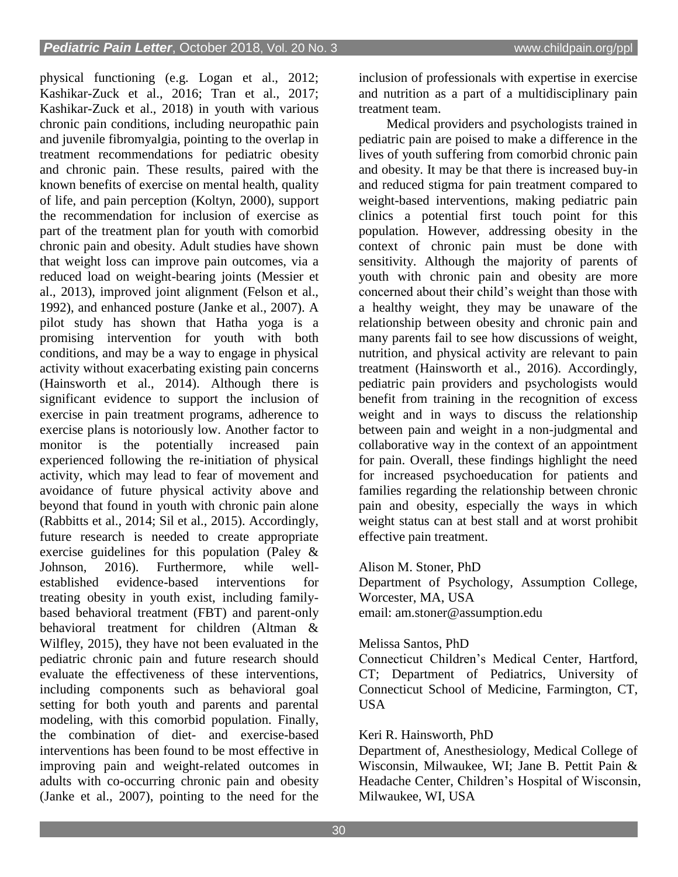physical functioning (e.g. Logan et al., 2012; Kashikar-Zuck et al., 2016; Tran et al., 2017; Kashikar-Zuck et al., 2018) in youth with various chronic pain conditions, including neuropathic pain and juvenile fibromyalgia, pointing to the overlap in treatment recommendations for pediatric obesity and chronic pain. These results, paired with the known benefits of exercise on mental health, quality of life, and pain perception (Koltyn, 2000), support the recommendation for inclusion of exercise as part of the treatment plan for youth with comorbid chronic pain and obesity. Adult studies have shown that weight loss can improve pain outcomes, via a reduced load on weight-bearing joints (Messier et al., 2013), improved joint alignment (Felson et al., 1992), and enhanced posture (Janke et al., 2007). A pilot study has shown that Hatha yoga is a promising intervention for youth with both conditions, and may be a way to engage in physical activity without exacerbating existing pain concerns (Hainsworth et al., 2014). Although there is significant evidence to support the inclusion of exercise in pain treatment programs, adherence to exercise plans is notoriously low. Another factor to monitor is the potentially increased pain experienced following the re-initiation of physical activity, which may lead to fear of movement and avoidance of future physical activity above and beyond that found in youth with chronic pain alone (Rabbitts et al., 2014; Sil et al., 2015). Accordingly, future research is needed to create appropriate exercise guidelines for this population (Paley & Johnson, 2016). Furthermore, while wellestablished evidence-based interventions for treating obesity in youth exist, including familybased behavioral treatment (FBT) and parent-only behavioral treatment for children (Altman & Wilfley, 2015), they have not been evaluated in the pediatric chronic pain and future research should evaluate the effectiveness of these interventions, including components such as behavioral goal setting for both youth and parents and parental modeling, with this comorbid population. Finally, the combination of diet- and exercise-based interventions has been found to be most effective in improving pain and weight-related outcomes in adults with co-occurring chronic pain and obesity (Janke et al., 2007), pointing to the need for the

inclusion of professionals with expertise in exercise and nutrition as a part of a multidisciplinary pain treatment team.

Medical providers and psychologists trained in pediatric pain are poised to make a difference in the lives of youth suffering from comorbid chronic pain and obesity. It may be that there is increased buy-in and reduced stigma for pain treatment compared to weight-based interventions, making pediatric pain clinics a potential first touch point for this population. However, addressing obesity in the context of chronic pain must be done with sensitivity. Although the majority of parents of youth with chronic pain and obesity are more concerned about their child's weight than those with a healthy weight, they may be unaware of the relationship between obesity and chronic pain and many parents fail to see how discussions of weight, nutrition, and physical activity are relevant to pain treatment (Hainsworth et al., 2016). Accordingly, pediatric pain providers and psychologists would benefit from training in the recognition of excess weight and in ways to discuss the relationship between pain and weight in a non-judgmental and collaborative way in the context of an appointment for pain. Overall, these findings highlight the need for increased psychoeducation for patients and families regarding the relationship between chronic pain and obesity, especially the ways in which weight status can at best stall and at worst prohibit effective pain treatment.

Alison M. Stoner, PhD

Department of Psychology, Assumption College, Worcester, MA, USA email: am.stoner@assumption.edu

Melissa Santos, PhD

Connecticut Children's Medical Center, Hartford, CT; Department of Pediatrics, University of Connecticut School of Medicine, Farmington, CT, USA

#### Keri R. Hainsworth, PhD

Department of, Anesthesiology, Medical College of Wisconsin, Milwaukee, WI; Jane B. Pettit Pain & Headache Center, Children's Hospital of Wisconsin, Milwaukee, WI, USA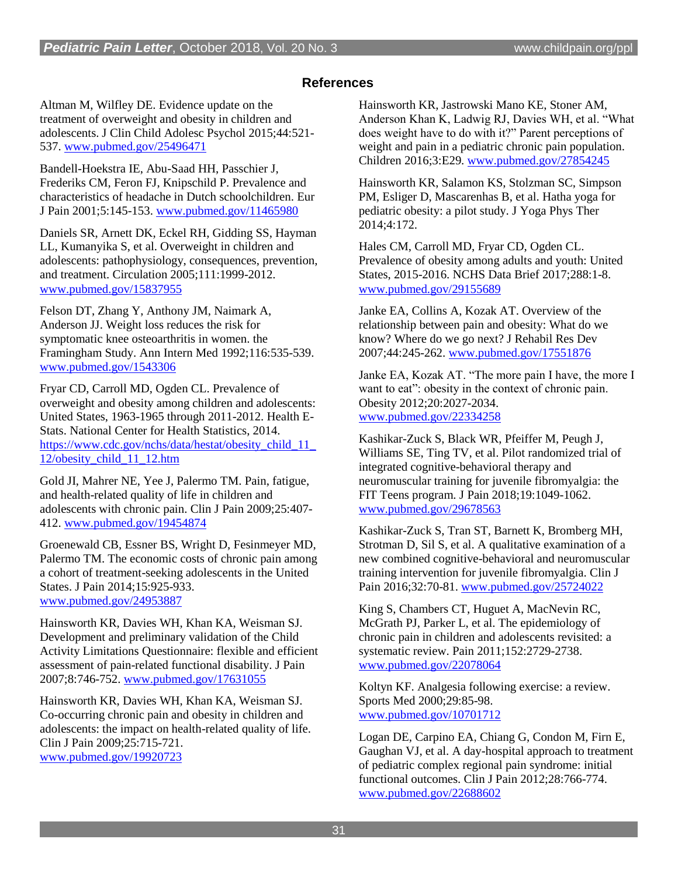#### **References**

Altman M, Wilfley DE. Evidence update on the treatment of overweight and obesity in children and adolescents. J Clin Child Adolesc Psychol 2015;44:521- 537. [www.pubmed.gov/25496471](http://www.pubmed.gov/25496471)

Bandell-Hoekstra IE, Abu-Saad HH, Passchier J, Frederiks CM, Feron FJ, Knipschild P. Prevalence and characteristics of headache in Dutch schoolchildren. Eur J Pain 2001;5:145-153. [www.pubmed.gov/11465980](http://www.pubmed.gov/11465980)

Daniels SR, Arnett DK, Eckel RH, Gidding SS, Hayman LL, Kumanyika S, et al. Overweight in children and adolescents: pathophysiology, consequences, prevention, and treatment. Circulation 2005;111:1999-2012. [www.pubmed.gov/15837955](http://www.pubmed.gov/15837955)

Felson DT, Zhang Y, Anthony JM, Naimark A, Anderson JJ. Weight loss reduces the risk for symptomatic knee osteoarthritis in women. the Framingham Study. Ann Intern Med 1992;116:535-539. [www.pubmed.gov/1543306](http://www.pubmed.gov/1543306)

Fryar CD, Carroll MD, Ogden CL. Prevalence of overweight and obesity among children and adolescents: United States, 1963-1965 through 2011-2012. Health E-Stats. National Center for Health Statistics, 2014. [https://www.cdc.gov/nchs/data/hestat/obesity\\_child\\_11\\_](https://www.cdc.gov/nchs/data/hestat/obesity_child_11_12/obesity_child_11_12.htm) [12/obesity\\_child\\_11\\_12.htm](https://www.cdc.gov/nchs/data/hestat/obesity_child_11_12/obesity_child_11_12.htm)

Gold JI, Mahrer NE, Yee J, Palermo TM. Pain, fatigue, and health-related quality of life in children and adolescents with chronic pain. Clin J Pain 2009;25:407- 412. [www.pubmed.gov/19454874](http://www.pubmed.gov/19454874)

Groenewald CB, Essner BS, Wright D, Fesinmeyer MD, Palermo TM. The economic costs of chronic pain among a cohort of treatment-seeking adolescents in the United States. J Pain 2014;15:925-933. [www.pubmed.gov/24953887](http://www.pubmed.gov/24953887)

Hainsworth KR, Davies WH, Khan KA, Weisman SJ. Development and preliminary validation of the Child Activity Limitations Questionnaire: flexible and efficient assessment of pain-related functional disability. J Pain 2007;8:746-752. [www.pubmed.gov/17631055](http://www.pubmed.gov/17631055)

Hainsworth KR, Davies WH, Khan KA, Weisman SJ. Co-occurring chronic pain and obesity in children and adolescents: the impact on health-related quality of life. Clin J Pain 2009;25:715-721. [www.pubmed.gov/19920723](http://www.pubmed.gov/19920723)

Hainsworth KR, Jastrowski Mano KE, Stoner AM, Anderson Khan K, Ladwig RJ, Davies WH, et al. "What does weight have to do with it?" Parent perceptions of weight and pain in a pediatric chronic pain population. Children 2016;3:E29. [www.pubmed.gov/27854245](http://www.pubmed.gov/27854245)

Hainsworth KR, Salamon KS, Stolzman SC, Simpson PM, Esliger D, Mascarenhas B, et al. Hatha yoga for pediatric obesity: a pilot study. J Yoga Phys Ther 2014;4:172.

Hales CM, Carroll MD, Fryar CD, Ogden CL. Prevalence of obesity among adults and youth: United States, 2015-2016. NCHS Data Brief 2017;288:1-8. [www.pubmed.gov/29155689](http://www.pubmed.gov/29155689)

Janke EA, Collins A, Kozak AT. Overview of the relationship between pain and obesity: What do we know? Where do we go next? J Rehabil Res Dev 2007;44:245-262. [www.pubmed.gov/17551876](http://www.pubmed.gov/17551876)

Janke EA, Kozak AT. "The more pain I have, the more I want to eat": obesity in the context of chronic pain. Obesity 2012;20:2027-2034. [www.pubmed.gov/22334258](http://www.pubmed.gov/22334258)

Kashikar-Zuck S, Black WR, Pfeiffer M, Peugh J, Williams SE, Ting TV, et al. Pilot randomized trial of integrated cognitive-behavioral therapy and neuromuscular training for juvenile fibromyalgia: the FIT Teens program. J Pain 2018;19:1049-1062. [www.pubmed.gov/29678563](http://www.pubmed.gov/29678563)

Kashikar-Zuck S, Tran ST, Barnett K, Bromberg MH, Strotman D, Sil S, et al. A qualitative examination of a new combined cognitive-behavioral and neuromuscular training intervention for juvenile fibromyalgia. Clin J Pain 2016;32:70-81. [www.pubmed.gov/25724022](http://www.pubmed.gov/25724022)

King S, Chambers CT, Huguet A, MacNevin RC, McGrath PJ, Parker L, et al. The epidemiology of chronic pain in children and adolescents revisited: a systematic review. Pain 2011;152:2729-2738. [www.pubmed.gov/22078064](http://www.pubmed.gov/22078064)

Koltyn KF. Analgesia following exercise: a review. Sports Med 2000;29:85-98. [www.pubmed.gov/10701712](http://www.pubmed.gov/10701712)

Logan DE, Carpino EA, Chiang G, Condon M, Firn E, Gaughan VJ, et al. A day-hospital approach to treatment of pediatric complex regional pain syndrome: initial functional outcomes. Clin J Pain 2012;28:766-774. [www.pubmed.gov/22688602](http://www.pubmed.gov/22688602)